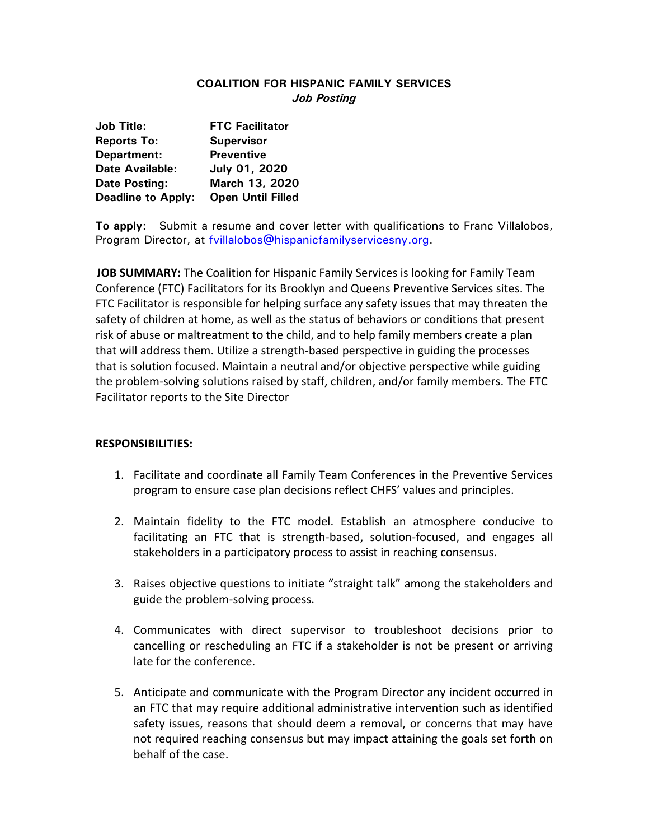## **COALITION FOR HISPANIC FAMILY SERVICES** *Job Posting*

| <b>Job Title:</b>         | <b>FTC Facilitator</b>   |
|---------------------------|--------------------------|
| <b>Reports To:</b>        | <b>Supervisor</b>        |
| Department:               | <b>Preventive</b>        |
| <b>Date Available:</b>    | July 01, 2020            |
| <b>Date Posting:</b>      | March 13, 2020           |
| <b>Deadline to Apply:</b> | <b>Open Until Filled</b> |

**To apply**: Submit a resume and cover letter with qualifications to Franc Villalobos, Program Director, at [fvillalobos@hispanicfamilyservicesny.org.](mailto:fvillalobos@hispanicfamilyservicesny.org)

 **JOB SUMMARY:** The Coalition for Hispanic Family Services is looking for Family Team Conference (FTC) Facilitators for its Brooklyn and Queens Preventive Services sites. The FTC Facilitator is responsible for helping surface any safety issues that may threaten the safety of children at home, as well as the status of behaviors or conditions that present risk of abuse or maltreatment to the child, and to help family members create a plan that will address them. Utilize a strength-based perspective in guiding the processes that is solution focused. Maintain a neutral and/or objective perspective while guiding the problem-solving solutions raised by staff, children, and/or family members. The FTC Facilitator reports to the Site Director

## **RESPONSIBILITIES:**

- 1. Facilitate and coordinate all Family Team Conferences in the Preventive Services program to ensure case plan decisions reflect CHFS' values and principles.
- 2. Maintain fidelity to the FTC model. Establish an atmosphere conducive to facilitating an FTC that is strength-based, solution-focused, and engages all stakeholders in a participatory process to assist in reaching consensus.
- 3. Raises objective questions to initiate "straight talk" among the stakeholders and guide the problem-solving process.
- 4. Communicates with direct supervisor to troubleshoot decisions prior to cancelling or rescheduling an FTC if a stakeholder is not be present or arriving late for the conference.
- 5. Anticipate and communicate with the Program Director any incident occurred in an FTC that may require additional administrative intervention such as identified safety issues, reasons that should deem a removal, or concerns that may have not required reaching consensus but may impact attaining the goals set forth on behalf of the case.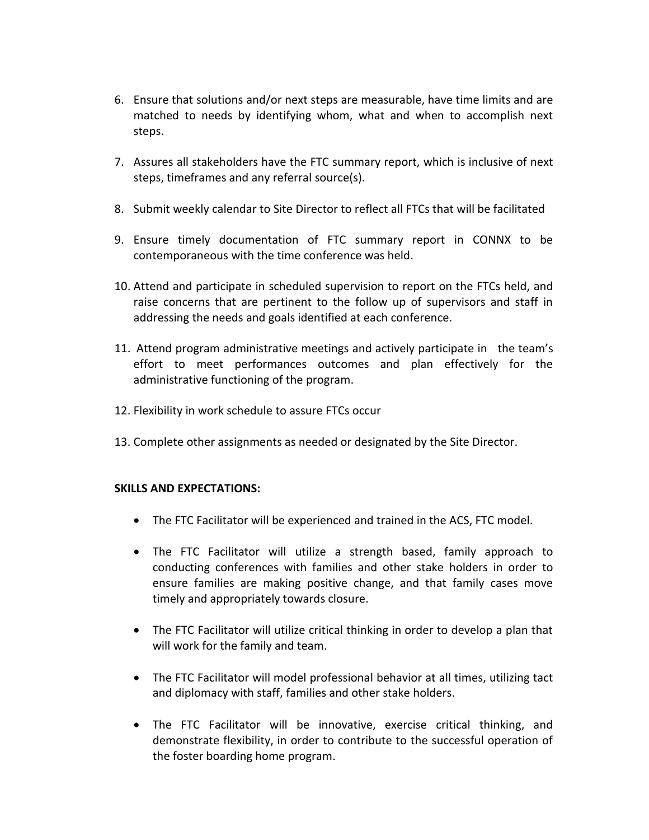- 6. Ensure that solutions and/or next steps are measurable, have time limits and are matched to needs by identifying whom, what and when to accomplish next steps.
- 7. Assures all stakeholders have the FTC summary report, which is inclusive of next steps, timeframes and any referral source(s).
- 8. Submit weekly calendar to Site Director to reflect all FTCs that will be facilitated
- 9. Ensure timely documentation of FTC summary report in CONNX to be contemporaneous with the time conference was held.
- 10. Attend and participate in scheduled supervision to report on the FTCs held, and raise concerns that are pertinent to the follow up of supervisors and staff in addressing the needs and goals identified at each conference.
- 11. Attend program administrative meetings and actively participate in the team's effort to meet performances outcomes and plan effectively for the administrative functioning of the program.
- 12. Flexibility in work schedule to assure FTCs occur
- 13. Complete other assignments as needed or designated by the Site Director.

## **SKILLS AND EXPECTATIONS:**

- The FTC Facilitator will be experienced and trained in the ACS, FTC model.
- The FTC Facilitator will utilize a strength based, family approach to conducting conferences with families and other stake holders in order to ensure families are making positive change, and that family cases move timely and appropriately towards closure.
- The FTC Facilitator will utilize critical thinking in order to develop a plan that will work for the family and team.
- The FTC Facilitator will model professional behavior at all times, utilizing tact and diplomacy with staff, families and other stake holders.
- The FTC Facilitator will be innovative, exercise critical thinking, and demonstrate flexibility, in order to contribute to the successful operation of the foster boarding home program.